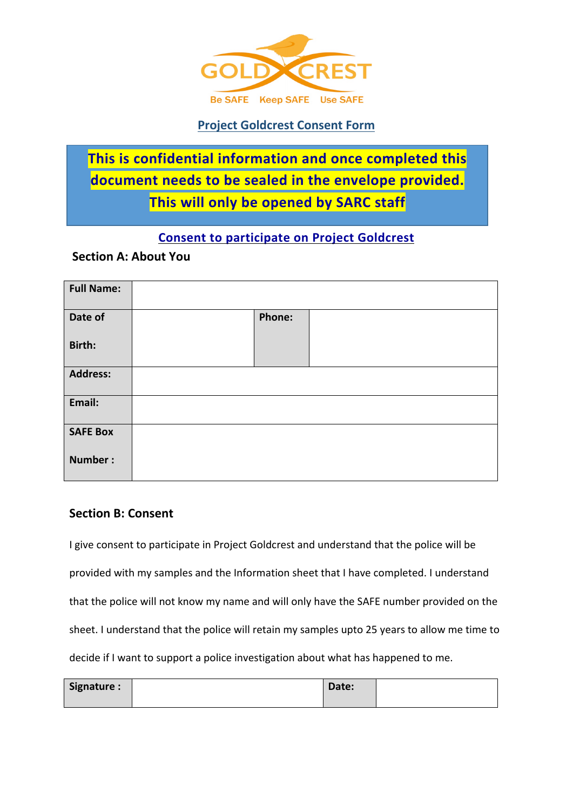

# **Project Goldcrest Consent Form**

# **This is confidential information and once completed this document needs to be sealed in the envelope provided. This will only be opened by SARC staff**

## **Consent to participate on Project Goldcrest**

## **Section A: About You**

| <b>Full Name:</b> |        |  |
|-------------------|--------|--|
| Date of           | Phone: |  |
| Birth:            |        |  |
| <b>Address:</b>   |        |  |
| Email:            |        |  |
| <b>SAFE Box</b>   |        |  |
| Number:           |        |  |

#### **Section B: Consent**

I give consent to participate in Project Goldcrest and understand that the police will be provided with my samples and the Information sheet that I have completed. I understand that the police will not know my name and will only have the SAFE number provided on the sheet. I understand that the police will retain my samples upto 25 years to allow me time to decide if I want to support a police investigation about what has happened to me.

| Signature: | Date: |  |
|------------|-------|--|
|            |       |  |